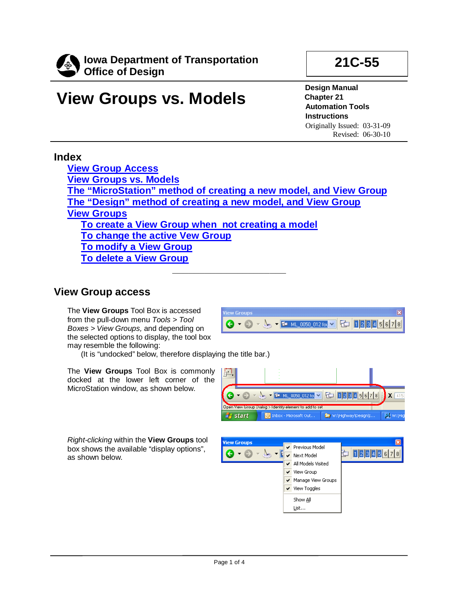

# **View Groups vs. Models**

**Design Manual Chapter 21 Automation Tools Instructions** Originally Issued: 03-31-09 Revised: 06-30-10

**21C-55**

## **Index**

**[View Group Access](#page-0-0) [View Groups vs. Models](#page-1-0) [The "MicroStation" method of creating a new model, and View Group](#page-1-1) [The "Design" method of creating a new model, and View Group](#page-1-2) [View Groups](#page-2-0) [To create a View Group when not creating a model](#page-2-1) [To change the active Vew Group](#page-3-0) [To modify a View Group](#page-3-1) [To delete a View Group](#page-3-2)**

**\_\_\_\_\_\_\_\_\_\_\_\_\_\_\_\_\_\_\_\_\_**

.<br>View Groups

## <span id="page-0-0"></span>**View Group access**

The **View Groups** Tool Box is accessed from the pull-down menu *Tools > Tool Boxes > View Groups,* and depending on the selected options to display, the tool box may resemble the following:

(It is "undocked" below, therefore displaying the title bar.)

The **View Groups** Tool Box is commonly docked at the lower left corner of the MicroStation window, as shown below.

*Right-clicking* within the **View Groups** tool box shows the available "display options", as shown below.



 $\bigodot$   $\bigodot$   $\bigodot$   $\bigodot$   $\bigodot$   $\bigodot$   $\bigodot$   $\bigodot$   $\bigodot$   $\bigodot$   $\bigodot$   $\bigodot$   $\bigodot$   $\bigodot$   $\bigodot$   $\bigodot$   $\bigodot$   $\bigodot$   $\bigodot$   $\bigodot$   $\bigodot$   $\bigodot$   $\bigodot$   $\bigodot$   $\bigodot$   $\bigodot$   $\bigodot$   $\bigodot$   $\bigodot$   $\bigodot$   $\bigodot$   $\bigod$ 



**View Groups**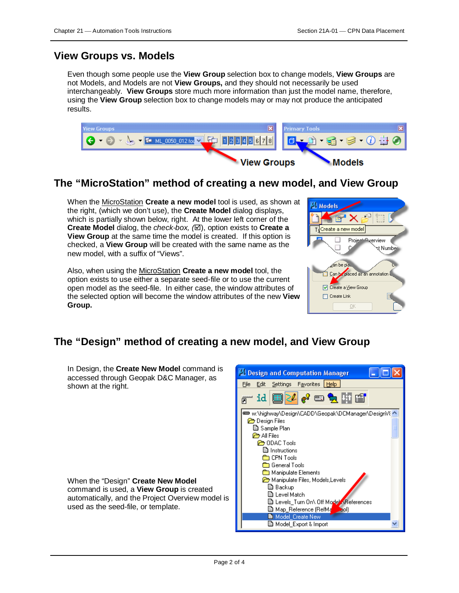## <span id="page-1-0"></span>**View Groups vs. Models**

Even though some people use the **View Group** selection box to change models, **View Groups** are not Models, and Models are not **View Groups,** and they should not necessarily be used interchangeably. **View Groups** store much more information than just the model name, therefore, using the **View Group** selection box to change models may or may not produce the anticipated results.



## <span id="page-1-1"></span>**The "MicroStation" method of creating a new model, and View Group**

When the MicroStation **Create a new model** tool is used, as shown at the right, (which we don't use), the **Create Model** dialog displays, which is partially shown below, right. At the lower left corner of the **Create Model** dialog, the *check-box,* (⊠), option exists to **Create a View Group** at the same time the model is created. If this option is checked, a **View Group** will be created with the same name as the new model, with a suffix of "Views".

Also, when using the MicroStation **Create a new model** tool, the option exists to use either a separate seed-file or to use the current open model as the seed-file. In either case, the window attributes of the selected option will become the window attributes of the new **View Group.**



# <span id="page-1-2"></span>**The "Design" method of creating a new model, and View Group**

In Design, the **Create New Model** command is accessed through Geopak D&C Manager, as shown at the right.

When the "Design" **Create New Model**  command is used, a **View Group** is created automatically, and the Project Overview model is used as the seed-file, or template.

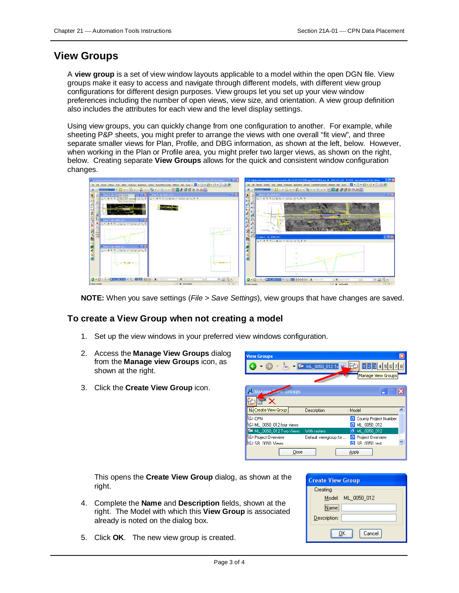### <span id="page-2-0"></span>**View Groups**

A **view group** is a set of view window layouts applicable to a model within the open DGN file. View groups make it easy to access and navigate through different models, with different view group configurations for different design purposes. View groups let you set up your view window preferences including the number of open views, view size, and orientation. A view group definition also includes the attributes for each view and the level display settings.

Using view groups, you can quickly change from one configuration to another. For example, while sheeting P&P sheets, you might prefer to arrange the views with one overall "fit view", and three separate smaller views for Plan, Profile, and DBG information, as shown at the left, below. However, when working in the Plan or Profile area, you might prefer two larger views, as shown on the right, below. Creating separate **View Groups** allows for the quick and consistent window configuration changes.

| Be Lit three jets in the today subset and the Literaturian refer to the 190 Literaturia in the set of the set of the set<br>The Call Clerent Settings Easts Libbes Washern Applications window RannafadoCarrection Elisters table Acom [2] . [3] . [3] . [3] . [3] . [3] .<br>※ Hang → Dist - Dist - Dist - 白 + - 図 日古智器量造品図<br><b>DESCRIPTION</b><br>→巨器<br>inv. L. M., 0950, U.L.<br><b>N. J. Pare Fram</b><br><b>Q · A R R DEED - DEE B &amp; X G</b><br>Consideration of DAT G-ASSOCIE - DE DATE |            |
|------------------------------------------------------------------------------------------------------------------------------------------------------------------------------------------------------------------------------------------------------------------------------------------------------------------------------------------------------------------------------------------------------------------------------------------------------------------------------------------------------|------------|
|                                                                                                                                                                                                                                                                                                                                                                                                                                                                                                      |            |
|                                                                                                                                                                                                                                                                                                                                                                                                                                                                                                      |            |
| $\sum_{i=1}^{n}$<br>113 am 2 ML 0050 012<br>酷<br>G A R R DEEP DE GALA<br>$-178$<br>ave 4   14 0050 011<br>開きを図<br>R.<br><b>SARREDOM DO 343</b><br>ø,<br>a<br><b>STATISTICS</b><br><b>CONTRACTOR</b>                                                                                                                                                                                                                                                                                                  | 二回路<br>日回风 |
|                                                                                                                                                                                                                                                                                                                                                                                                                                                                                                      |            |
| $-27$<br>O D - L - External - FL 国民国 s(c) / L X ( Changes)<br>Y EUTER<br>$\bigcirc$ . $\bigcirc$ . $\searrow$ . Letters a state $\cdot$ Eq. [[[] detected by $\mathbf{x}$ and $\cdots$<br>Y SHILLER<br>The Commission of the Commission<br>The Control of Care                                                                                                                                                                                                                                       | ■ 豆 豆 →    |

**NOTE:** When you save settings (*File > Save Settings*), view groups that have changes are saved.

#### <span id="page-2-1"></span>**To create a View Group when not creating a model**

- 1. Set up the view windows in your preferred view windows configuration.
- 2. Access the **Manage View Groups** dialog from the **Manage view Groups** icon, as shown at the right.
- 3. Click the **Create View Group** icon.

| <b>View Groups</b>      |                       |                                                                                                     |  |
|-------------------------|-----------------------|-----------------------------------------------------------------------------------------------------|--|
|                         |                       | $\Theta$ - $\frac{1}{2}$ - $\frac{1}{2}$ ML 0050_012 Tw $\frac{1}{2}$ $\frac{1}{2}$ 1 2 3 4 5 6 7 8 |  |
|                         |                       | Manage View Groups                                                                                  |  |
| Manage Mew Groups       |                       |                                                                                                     |  |
|                         |                       |                                                                                                     |  |
|                         |                       |                                                                                                     |  |
| NaCreate View Group     | Description           | Model                                                                                               |  |
| <b>CPN</b>              |                       | County Project Number                                                                               |  |
| ML_0050_012 four views  |                       | ML 0050 012                                                                                         |  |
| ML 0050 012 Two Views   | With rasters          | ML 0050 012<br>$\sigma$                                                                             |  |
| Project Overview        | Default viewgroup for | Project Overview<br>О                                                                               |  |
| <b>ED SB 0050 Views</b> |                       | <b>G</b> SB 0050 test                                                                               |  |

This opens the **Create View Group** dialog, as shown at the right.

- 4. Complete the **Name** and **Description** fields, shown at the right. The Model with which this **View Group** is associated already is noted on the dialog box.
- 5. Click **OK**. The new view group is created.

| <b>Create View Group</b> |
|--------------------------|
| Creating                 |
| Model: ML 0050 012       |
| Name:                    |
| Description:             |
| Cancel<br>OΚ             |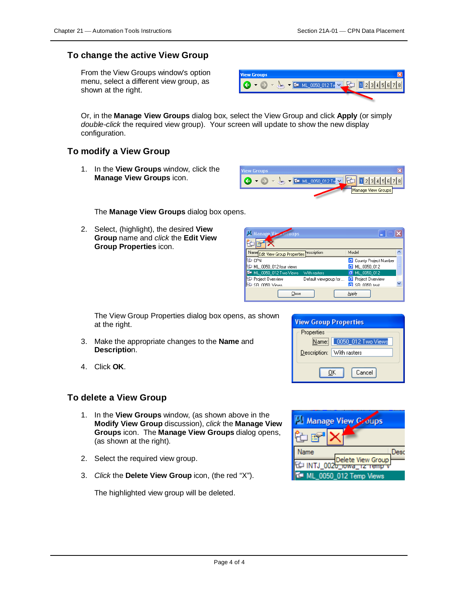#### <span id="page-3-0"></span>**To change the active View Group**

From the View Groups window's option menu, select a different view group, as shown at the right.



Or, in the **Manage View Groups** dialog box, select the View Group and click **Apply** (or simply *double-click* the required view group). Your screen will update to show the new display configuration.

### <span id="page-3-1"></span>**To modify a View Group**

1. In the **View Groups** window, click the **Manage View Groups** icon.



The **Manage View Groups** dialog box opens.

2. Select, (highlight), the desired **View Group** name and *click* the **Edit View Group Properties** icon.

| <b>Manage View</b><br>Groups                                           |  |
|------------------------------------------------------------------------|--|
|                                                                        |  |
| Model<br>Name Edit View Group Properties escription                    |  |
| CPN<br>County Project Number                                           |  |
| ML_0050_012 four views<br><b>D</b> ML 0050 012                         |  |
| T ML 0050 012 Two Views<br>$\Box$ ML 0050 012<br>With rasters          |  |
| Project Overview<br><b>D</b> Project Overview<br>Default viewgroup for |  |
| <b>ED SB 0050 Views</b><br><b>El</b> SB 0050 test                      |  |
| Close<br>Apply                                                         |  |

The View Group Properties dialog box opens, as shown at the right.

- 3. Make the appropriate changes to the **Name** and **Descriptio**n.
- 4. Click **OK**.

# <span id="page-3-2"></span>**To delete a View Grou[p](mk:@MSITStore:C:\Program%20Files\BentleyXM\Documentation\MicroStation.chm::/ustnhelp173.html#nowhere#nowhere)**

- 1. In the **View Groups** window, (as shown above in the **Modify View Group** discussion), *click* the **Manage View Groups** icon. The **Manage View Groups** dialog opens, (as shown at the right).
- 2. Select the required view group.
- 3. *Click* the **Delete View Group** icon, (the red "X").

The highlighted view group will be deleted.

| <b>View Group Properties</b> |                           |  |
|------------------------------|---------------------------|--|
| Properties                   |                           |  |
|                              | Name: 0050_012 Two Views  |  |
|                              | Description: With rasters |  |
| Cancel<br>ΠK                 |                           |  |